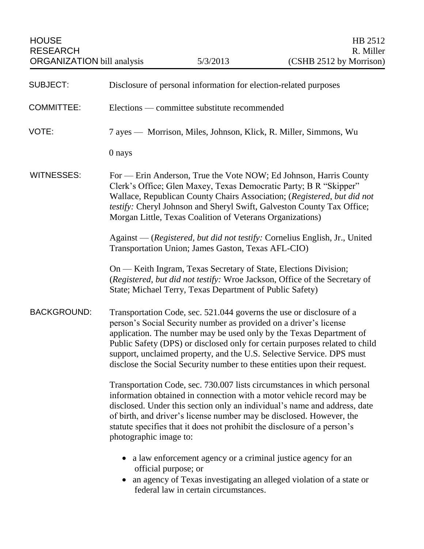| <b>SUBJECT:</b>    | Disclosure of personal information for election-related purposes                                                                                                                                                                                                                                                                                                                                                                                      |
|--------------------|-------------------------------------------------------------------------------------------------------------------------------------------------------------------------------------------------------------------------------------------------------------------------------------------------------------------------------------------------------------------------------------------------------------------------------------------------------|
| <b>COMMITTEE:</b>  | Elections — committee substitute recommended                                                                                                                                                                                                                                                                                                                                                                                                          |
| VOTE:              | 7 ayes — Morrison, Miles, Johnson, Klick, R. Miller, Simmons, Wu                                                                                                                                                                                                                                                                                                                                                                                      |
|                    | 0 nays                                                                                                                                                                                                                                                                                                                                                                                                                                                |
| <b>WITNESSES:</b>  | For - Erin Anderson, True the Vote NOW; Ed Johnson, Harris County<br>Clerk's Office; Glen Maxey, Texas Democratic Party; B R "Skipper"<br>Wallace, Republican County Chairs Association; (Registered, but did not<br>testify: Cheryl Johnson and Sheryl Swift, Galveston County Tax Office;<br>Morgan Little, Texas Coalition of Veterans Organizations)                                                                                              |
|                    | Against — (Registered, but did not testify: Cornelius English, Jr., United<br>Transportation Union; James Gaston, Texas AFL-CIO)                                                                                                                                                                                                                                                                                                                      |
|                    | On — Keith Ingram, Texas Secretary of State, Elections Division;<br>(Registered, but did not testify: Wroe Jackson, Office of the Secretary of<br>State; Michael Terry, Texas Department of Public Safety)                                                                                                                                                                                                                                            |
| <b>BACKGROUND:</b> | Transportation Code, sec. 521.044 governs the use or disclosure of a<br>person's Social Security number as provided on a driver's license<br>application. The number may be used only by the Texas Department of<br>Public Safety (DPS) or disclosed only for certain purposes related to child<br>support, unclaimed property, and the U.S. Selective Service. DPS must<br>disclose the Social Security number to these entities upon their request. |
|                    | Transportation Code, sec. 730.007 lists circumstances in which personal<br>information obtained in connection with a motor vehicle record may be<br>disclosed. Under this section only an individual's name and address, date<br>of birth, and driver's license number may be disclosed. However, the<br>statute specifies that it does not prohibit the disclosure of a person's<br>photographic image to:                                           |
|                    | a law enforcement agency or a criminal justice agency for an<br>official purpose; or<br>an agency of Texas investigating an alleged violation of a state or<br>$\bullet$<br>federal law in certain circumstances.                                                                                                                                                                                                                                     |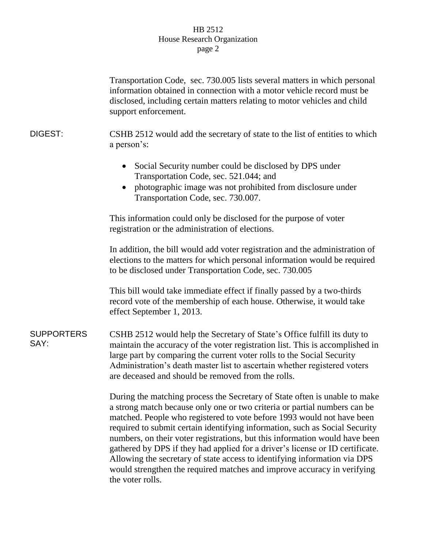## HB 2512 House Research Organization page 2

|                           | Transportation Code, sec. 730.005 lists several matters in which personal                                                                                                                                                                                                                                                                                                                                                                                                                                                                                                                                                                                    |
|---------------------------|--------------------------------------------------------------------------------------------------------------------------------------------------------------------------------------------------------------------------------------------------------------------------------------------------------------------------------------------------------------------------------------------------------------------------------------------------------------------------------------------------------------------------------------------------------------------------------------------------------------------------------------------------------------|
|                           | information obtained in connection with a motor vehicle record must be<br>disclosed, including certain matters relating to motor vehicles and child<br>support enforcement.                                                                                                                                                                                                                                                                                                                                                                                                                                                                                  |
| DIGEST:                   | CSHB 2512 would add the secretary of state to the list of entities to which<br>a person's:                                                                                                                                                                                                                                                                                                                                                                                                                                                                                                                                                                   |
|                           | Social Security number could be disclosed by DPS under<br>$\bullet$<br>Transportation Code, sec. 521.044; and<br>photographic image was not prohibited from disclosure under<br>$\bullet$                                                                                                                                                                                                                                                                                                                                                                                                                                                                    |
|                           | Transportation Code, sec. 730.007.                                                                                                                                                                                                                                                                                                                                                                                                                                                                                                                                                                                                                           |
|                           | This information could only be disclosed for the purpose of voter<br>registration or the administration of elections.                                                                                                                                                                                                                                                                                                                                                                                                                                                                                                                                        |
|                           | In addition, the bill would add voter registration and the administration of<br>elections to the matters for which personal information would be required<br>to be disclosed under Transportation Code, sec. 730.005                                                                                                                                                                                                                                                                                                                                                                                                                                         |
|                           | This bill would take immediate effect if finally passed by a two-thirds<br>record vote of the membership of each house. Otherwise, it would take<br>effect September 1, 2013.                                                                                                                                                                                                                                                                                                                                                                                                                                                                                |
| <b>SUPPORTERS</b><br>SAY: | CSHB 2512 would help the Secretary of State's Office fulfill its duty to<br>maintain the accuracy of the voter registration list. This is accomplished in<br>large part by comparing the current voter rolls to the Social Security<br>Administration's death master list to ascertain whether registered voters<br>are deceased and should be removed from the rolls.                                                                                                                                                                                                                                                                                       |
|                           | During the matching process the Secretary of State often is unable to make<br>a strong match because only one or two criteria or partial numbers can be<br>matched. People who registered to vote before 1993 would not have been<br>required to submit certain identifying information, such as Social Security<br>numbers, on their voter registrations, but this information would have been<br>gathered by DPS if they had applied for a driver's license or ID certificate.<br>Allowing the secretary of state access to identifying information via DPS<br>would strengthen the required matches and improve accuracy in verifying<br>the voter rolls. |